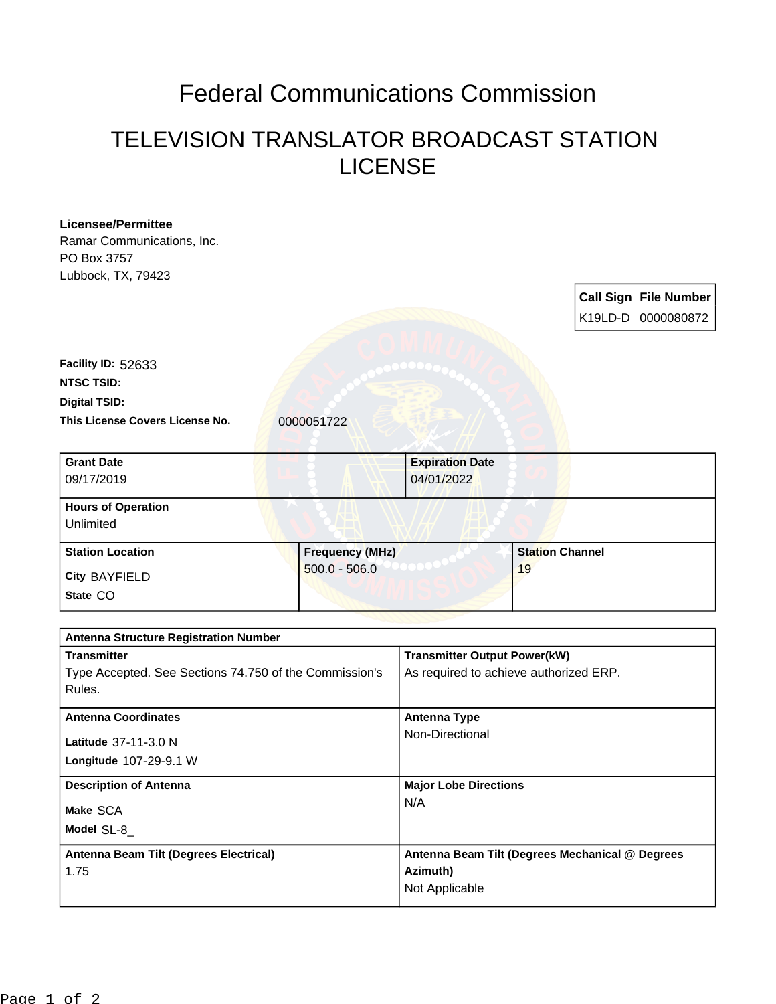## Federal Communications Commission

## TELEVISION TRANSLATOR BROADCAST STATION LICENSE

| <b>Licensee/Permittee</b>                              |                        |                                                             |                        |  |                       |  |
|--------------------------------------------------------|------------------------|-------------------------------------------------------------|------------------------|--|-----------------------|--|
| Ramar Communications, Inc.                             |                        |                                                             |                        |  |                       |  |
| PO Box 3757                                            |                        |                                                             |                        |  |                       |  |
| Lubbock, TX, 79423                                     |                        |                                                             |                        |  |                       |  |
|                                                        |                        |                                                             |                        |  | Call Sign File Number |  |
|                                                        |                        |                                                             |                        |  | K19LD-D 0000080872    |  |
|                                                        |                        |                                                             |                        |  |                       |  |
|                                                        |                        |                                                             |                        |  |                       |  |
| Facility ID: 52633                                     |                        |                                                             |                        |  |                       |  |
| <b>NTSC TSID:</b>                                      |                        |                                                             |                        |  |                       |  |
| <b>Digital TSID:</b>                                   |                        |                                                             |                        |  |                       |  |
| This License Covers License No.                        | 0000051722             |                                                             |                        |  |                       |  |
|                                                        |                        |                                                             |                        |  |                       |  |
| <b>Grant Date</b>                                      |                        | <b>Expiration Date</b>                                      |                        |  |                       |  |
| 09/17/2019                                             |                        | 04/01/2022                                                  |                        |  |                       |  |
|                                                        |                        |                                                             |                        |  |                       |  |
| <b>Hours of Operation</b>                              |                        |                                                             |                        |  |                       |  |
| Unlimited                                              |                        |                                                             |                        |  |                       |  |
| <b>Station Location</b>                                | <b>Frequency (MHz)</b> |                                                             | <b>Station Channel</b> |  |                       |  |
|                                                        | $500.0 - 506.0$        |                                                             | 19                     |  |                       |  |
| <b>City BAYFIELD</b>                                   |                        |                                                             |                        |  |                       |  |
| State CO                                               |                        |                                                             |                        |  |                       |  |
|                                                        |                        |                                                             |                        |  |                       |  |
| <b>Antenna Structure Registration Number</b>           |                        |                                                             |                        |  |                       |  |
| <b>Transmitter</b>                                     |                        | <b>Transmitter Output Power(kW)</b>                         |                        |  |                       |  |
| Type Accepted. See Sections 74.750 of the Commission's |                        | As required to achieve authorized ERP.                      |                        |  |                       |  |
| Rules.                                                 |                        |                                                             |                        |  |                       |  |
| <b>Antenna Coordinates</b>                             |                        | <b>Antenna Type</b>                                         |                        |  |                       |  |
|                                                        |                        | Non-Directional                                             |                        |  |                       |  |
| Latitude 37-11-3.0 N                                   |                        |                                                             |                        |  |                       |  |
| Longitude 107-29-9.1 W                                 |                        |                                                             |                        |  |                       |  |
| <b>Description of Antenna</b>                          |                        | <b>Major Lobe Directions</b>                                |                        |  |                       |  |
| Make SCA                                               |                        | N/A                                                         |                        |  |                       |  |
| Model SL-8_                                            |                        |                                                             |                        |  |                       |  |
|                                                        |                        |                                                             |                        |  |                       |  |
| Antenna Beam Tilt (Degrees Electrical)                 |                        | Antenna Beam Tilt (Degrees Mechanical @ Degrees<br>Azimuth) |                        |  |                       |  |
| 1.75                                                   |                        | Not Applicable                                              |                        |  |                       |  |
|                                                        |                        |                                                             |                        |  |                       |  |